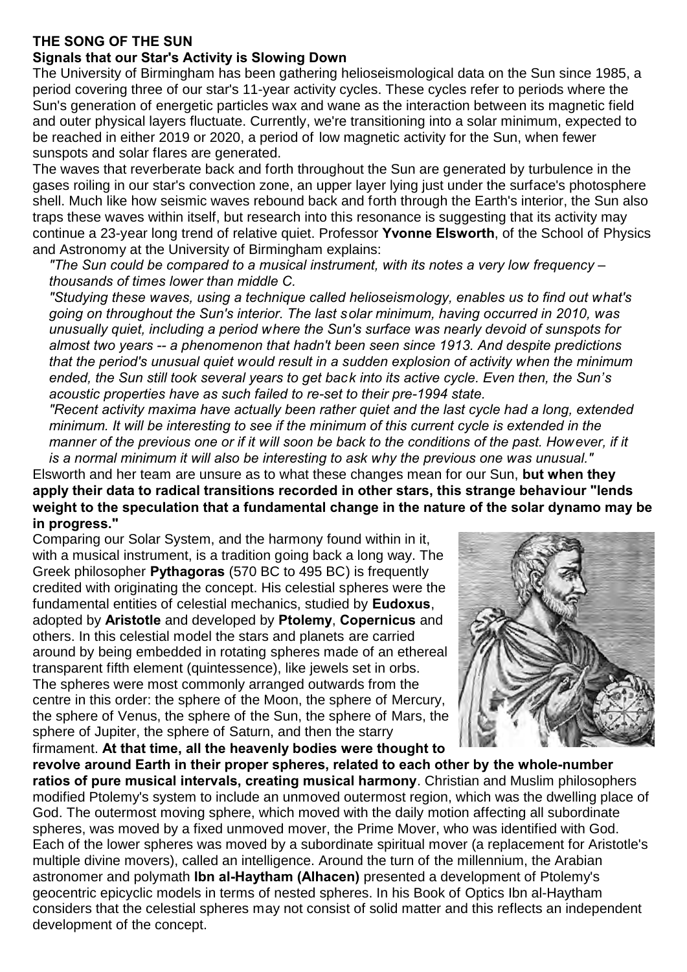## **THE SONG OF THE SUN**

## **Signals that our Star's Activity is Slowing Down**

The University of Birmingham has been gathering helioseismological data on the Sun since 1985, a period covering three of our star's 11-year activity cycles. These cycles refer to periods where the Sun's generation of energetic particles wax and wane as the interaction between its magnetic field and outer physical layers fluctuate. Currently, we're transitioning into a solar minimum, expected to be reached in either 2019 or 2020, a period of low magnetic activity for the Sun, when fewer sunspots and solar flares are generated.

The waves that reverberate back and forth throughout the Sun are generated by turbulence in the gases roiling in our star's convection zone, an upper layer lying just under the surface's photosphere shell. Much like how seismic waves rebound back and forth through the Earth's interior, the Sun also traps these waves within itself, but research into this resonance is suggesting that its activity may continue a 23-year long trend of relative quiet. Professor **Yvonne Elsworth**, of the School of Physics and Astronomy at the University of Birmingham explains:

*"The Sun could be compared to a musical instrument, with its notes a very low frequency – thousands of times lower than middle C.*

*"Studying these waves, using a technique called helioseismology, enables us to find out what's going on throughout the Sun's interior. The last solar minimum, having occurred in 2010, was unusually quiet, including a period where the Sun's surface was nearly devoid of sunspots for almost two years -- a phenomenon that hadn't been seen since 1913. And despite predictions that the period's unusual quiet would result in a sudden explosion of activity when the minimum ended, the Sun still took several years to get back into its active cycle. Even then, the Sun's acoustic properties have as such failed to re-set to their pre-1994 state.*

*"Recent activity maxima have actually been rather quiet and the last cycle had a long, extended minimum. It will be interesting to see if the minimum of this current cycle is extended in the manner of the previous one or if it will soon be back to the conditions of the past. However, if it is a normal minimum it will also be interesting to ask why the previous one was unusual."*

Elsworth and her team are unsure as to what these changes mean for our Sun, **but when they apply their data to radical transitions recorded in other stars, this strange behaviour "lends weight to the speculation that a fundamental change in the nature of the solar dynamo may be in progress."**

Comparing our Solar System, and the harmony found within in it, with a musical instrument, is a tradition going back a long way. The Greek philosopher **Pythagoras** (570 BC to 495 BC) is frequently credited with originating the concept. His celestial spheres were the fundamental entities of celestial mechanics, studied by **Eudoxus**, adopted by **Aristotle** and developed by **Ptolemy**, **Copernicus** and others. In this celestial model the stars and planets are carried around by being embedded in rotating spheres made of an ethereal transparent fifth element (quintessence), like jewels set in orbs. The spheres were most commonly arranged outwards from the centre in this order: the sphere of the Moon, the sphere of Mercury, the sphere of Venus, the sphere of the Sun, the sphere of Mars, the sphere of Jupiter, the sphere of Saturn, and then the starry firmament. **At that time, all the heavenly bodies were thought to**



**revolve around Earth in their proper spheres, related to each other by the whole-number ratios of pure musical intervals, creating musical harmony**. Christian and Muslim philosophers modified Ptolemy's system to include an unmoved outermost region, which was the dwelling place of God. The outermost moving sphere, which moved with the daily motion affecting all subordinate spheres, was moved by a fixed unmoved mover, the Prime Mover, who was identified with God. Each of the lower spheres was moved by a subordinate spiritual mover (a replacement for Aristotle's multiple divine movers), called an intelligence. Around the turn of the millennium, the Arabian astronomer and polymath **Ibn al-Haytham (Alhacen)** presented a development of Ptolemy's geocentric epicyclic models in terms of nested spheres. In his Book of Optics Ibn al-Haytham considers that the celestial spheres may not consist of solid matter and this reflects an independent development of the concept.